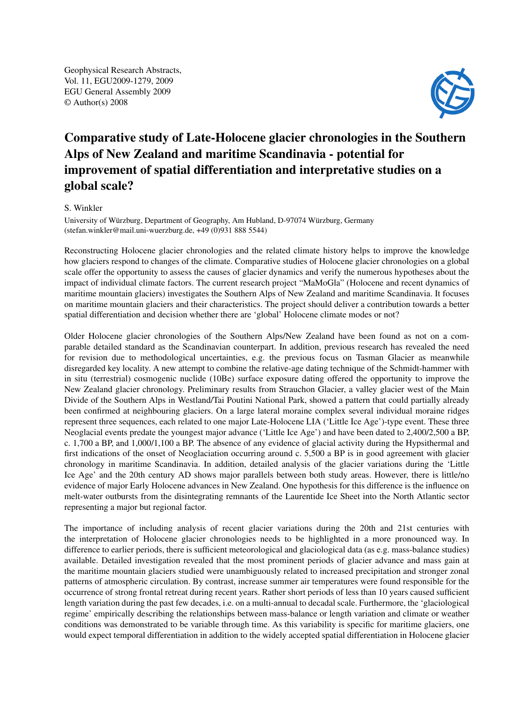Geophysical Research Abstracts, Vol. 11, EGU2009-1279, 2009 EGU General Assembly 2009 © Author(s) 2008



## Comparative study of Late-Holocene glacier chronologies in the Southern Alps of New Zealand and maritime Scandinavia - potential for improvement of spatial differentiation and interpretative studies on a global scale?

## S. Winkler

University of Würzburg, Department of Geography, Am Hubland, D-97074 Würzburg, Germany (stefan.winkler@mail.uni-wuerzburg.de, +49 (0)931 888 5544)

Reconstructing Holocene glacier chronologies and the related climate history helps to improve the knowledge how glaciers respond to changes of the climate. Comparative studies of Holocene glacier chronologies on a global scale offer the opportunity to assess the causes of glacier dynamics and verify the numerous hypotheses about the impact of individual climate factors. The current research project "MaMoGla" (Holocene and recent dynamics of maritime mountain glaciers) investigates the Southern Alps of New Zealand and maritime Scandinavia. It focuses on maritime mountain glaciers and their characteristics. The project should deliver a contribution towards a better spatial differentiation and decision whether there are 'global' Holocene climate modes or not?

Older Holocene glacier chronologies of the Southern Alps/New Zealand have been found as not on a comparable detailed standard as the Scandinavian counterpart. In addition, previous research has revealed the need for revision due to methodological uncertainties, e.g. the previous focus on Tasman Glacier as meanwhile disregarded key locality. A new attempt to combine the relative-age dating technique of the Schmidt-hammer with in situ (terrestrial) cosmogenic nuclide (10Be) surface exposure dating offered the opportunity to improve the New Zealand glacier chronology. Preliminary results from Strauchon Glacier, a valley glacier west of the Main Divide of the Southern Alps in Westland/Tai Poutini National Park, showed a pattern that could partially already been confirmed at neighbouring glaciers. On a large lateral moraine complex several individual moraine ridges represent three sequences, each related to one major Late-Holocene LIA ('Little Ice Age')-type event. These three Neoglacial events predate the youngest major advance ('Little Ice Age') and have been dated to 2,400/2,500 a BP, c. 1,700 a BP, and 1,000/1,100 a BP. The absence of any evidence of glacial activity during the Hypsithermal and first indications of the onset of Neoglaciation occurring around c. 5,500 a BP is in good agreement with glacier chronology in maritime Scandinavia. In addition, detailed analysis of the glacier variations during the 'Little Ice Age' and the 20th century AD shows major parallels between both study areas. However, there is little/no evidence of major Early Holocene advances in New Zealand. One hypothesis for this difference is the influence on melt-water outbursts from the disintegrating remnants of the Laurentide Ice Sheet into the North Atlantic sector representing a major but regional factor.

The importance of including analysis of recent glacier variations during the 20th and 21st centuries with the interpretation of Holocene glacier chronologies needs to be highlighted in a more pronounced way. In difference to earlier periods, there is sufficient meteorological and glaciological data (as e.g. mass-balance studies) available. Detailed investigation revealed that the most prominent periods of glacier advance and mass gain at the maritime mountain glaciers studied were unambiguously related to increased precipitation and stronger zonal patterns of atmospheric circulation. By contrast, increase summer air temperatures were found responsible for the occurrence of strong frontal retreat during recent years. Rather short periods of less than 10 years caused sufficient length variation during the past few decades, i.e. on a multi-annual to decadal scale. Furthermore, the 'glaciological regime' empirically describing the relationships between mass-balance or length variation and climate or weather conditions was demonstrated to be variable through time. As this variability is specific for maritime glaciers, one would expect temporal differentiation in addition to the widely accepted spatial differentiation in Holocene glacier